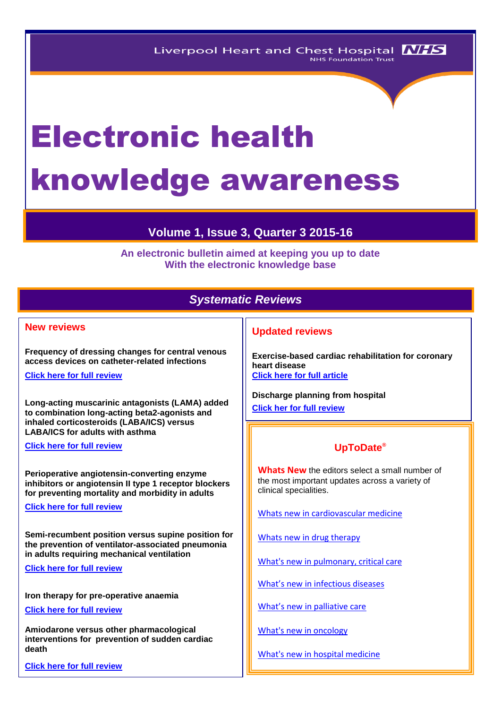# Electronic health knowledge awareness

# **Volume 1, Issue 3, Quarter 3 2015-16**

**An electronic bulletin aimed at keeping you up to date With the electronic knowledge base**

# *Systematic Reviews*

## **New reviews**

**Frequency of dressing changes for central venous access devices on catheter-related infections**

**[Click here for full review](http://onlinelibrary.wiley.com/enhanced/doi/10.1002/14651858.CD009213.pub2)** 

**Long-acting muscarinic antagonists (LAMA) added to combination long-acting beta2-agonists and inhaled corticosteroids (LABA/ICS) versus LABA/ICS for adults with asthma**

**[Click here for full review](http://onlinelibrary.wiley.com/enhanced/doi/10.1002/14651858.CD011721.pub2)** 

**Perioperative angiotensin-converting enzyme inhibitors or angiotensin II type 1 receptor blockers for preventing mortality and morbidity in adults**

**[Click here for full review](http://onlinelibrary.wiley.com/enhanced/doi/10.1002/14651858.CD009210.pub2)**

**Semi-recumbent position versus supine position for the prevention of ventilator-associated pneumonia in adults requiring mechanical ventilation**

**[Click here for full review](http://onlinelibrary.wiley.com/enhanced/doi/10.1002/14651858.CD009946.pub2)** 

**Iron therapy for pre-operative anaemia**

**[Click here for full review](http://onlinelibrary.wiley.com/enhanced/doi/10.1002/14651858.CD011588.pub2)**

**Amiodarone versus other pharmacological interventions for prevention of sudden cardiac death**

**[Click here for full review](http://onlinelibrary.wiley.com/enhanced/doi/10.1002/14651858.CD008093.pub2)**

## **Updated reviews**

**Exercise-based cardiac rehabilitation for coronary heart disease [Click here for full article](http://onlinelibrary.wiley.com/enhanced/doi/10.1002/14651858.CD001800.pub3)**

**Discharge planning from hospital**

**[Click her for full review](http://onlinelibrary.wiley.com/enhanced/doi/10.1002/14651858.CD000313.pub5)**

# **UpToDate®**

**Whats New** the editors select a small number of the most important updates across a variety of clinical specialities.

[Whats new in cardiovascular medicine](http://www.uptodate.com/contents/whats-new-in-cardiovascular-medicine)

[Whats new in drug therapy](http://www.uptodate.com/contents/whats-new-in-drug-therapy)

[What's new in pulmonary, critical care](http://www.uptodate.com/contents/whats-new-in-pulmonary-critical-care-and-sleep-medicine)

[What's new in infectious diseases](http://www.uptodate.com/contents/whats-new-in-infectious-diseases)

[What's new in palliative care](http://www.uptodate.com/contents/whats-new-in-palliative-care)

[What's new in oncology](http://www.uptodate.com/contents/whats-new-in-oncology)

[What's new in hospital medicine](http://www.uptodate.com/contents/whats-new-in-hospital-medicine)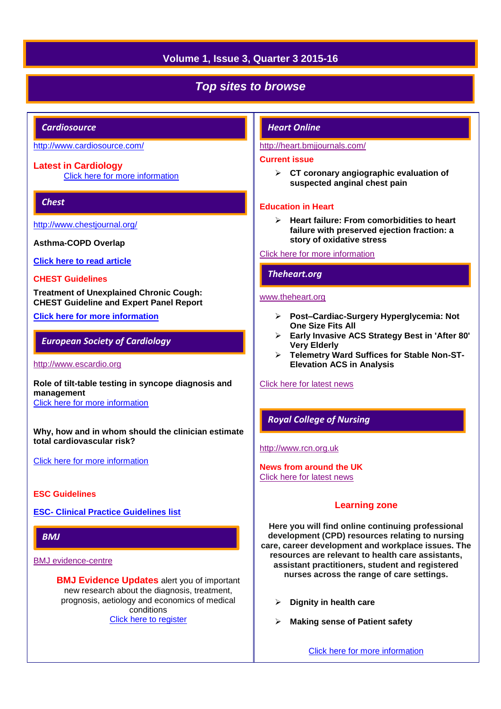# **Volume 1, Issue 3, Quarter 3 2015-16**

# *Top sites to browse*

## *Cardiosource*

## <http://www.cardiosource.com/>

### **Latest in Cardiology**

[Click here for more information](http://www.acc.org/latest-in-cardiology?w_nav=MN) 

## *Chest*

<http://www.chestjournal.org/>

**Asthma-COPD Overlap**

**[Click here to read article](http://journal.publications.chestnet.org/article.aspx?articleID=2481160)**

#### **CHEST Guidelines**

**Treatment of Unexplained Chronic Cough: CHEST Guideline and Expert Panel Report**

## **[Click here for more information](http://journal.publications.chestnet.org/article.aspx?articleID=2451211)**

## *European Society of Cardiology*

#### [http://www.escardio.org](http://www.escardio.org/Pages/index.aspx)

**Role of tilt-table testing in syncope diagnosis and management** [Click here for more information](http://www.escardio.org/Guidelines-&-Education/Journals-and-publications/ESC-journals-family/E-journal-of-Cardiology-Practice/Volume-13/role-of-tilt-table-testing-in-syncope-diagnosis-and-management) 

**Why, how and in whom should the clinician estimate total cardiovascular risk?**

[Click here for more information](http://www.escardio.org/Guidelines-&-Education/Journals-and-publications/ESC-journals-family/E-journal-of-Cardiology-Practice/Volume-13/why-how-and-in-whom-should-the-clinician-estimate-total-cardiovascular-risk) 

#### **ESC Guidelines**

**ESC- [Clinical Practice Guidelines list](http://www.escardio.org/Guidelines-&-Education/Clinical-Practice-Guidelines/ESC-Clinical-Practice-Guidelines-list/listing)**

## *BMJ*

[BMJ evidence-centre](http://plus.mcmaster.ca/EvidenceUpdates/Default.aspx)

**BMJ Evidence Updates** alert you of important new research about the diagnosis, treatment, prognosis, aetiology and economics of medical conditions [Click here to register](http://plus.mcmaster.ca/EvidenceUpdates/Registration.aspx)

### *Heart Online*

#### <http://heart.bmjjournals.com/>

#### **Current issue**

 **CT coronary angiographic evaluation of suspected anginal chest pain** 

### **Education in Heart**

 **Heart failure: From comorbidities to heart failure with preserved ejection fraction: a story of oxidative stress**

#### [Click here for more information](http://heart.bmj.com/content/current)

## *Theheart.org*

## [www.theheart.org](http://www.theheart.org/)

- **Post–Cardiac-Surgery Hyperglycemia: Not One Size Fits All**
- **Early Invasive ACS Strategy Best in 'After 80' Very Elderly**
- **Telemetry Ward Suffices for Stable Non-ST-Elevation ACS in Analysis**

#### [Click here for latest news](http://www.medscape.com/cardiology/news)

## *Royal College of Nursing*

#### [http://www.rcn.org.uk](http://www.rcn.org.uk/)

**News from around the UK** [Click here for latest news](http://www.rcn.org.uk/newsevents/news)

#### **Learning zone**

**Here you will find online continuing professional development (CPD) resources relating to nursing care, career development and workplace issues. The resources are relevant to health care assistants, assistant practitioners, student and registered nurses across the range of care settings.**

- **Dignity in health care**
- **Making sense of Patient safety**

[Click here for more information](http://www2.rcn.org.uk/development/learning/learningzone)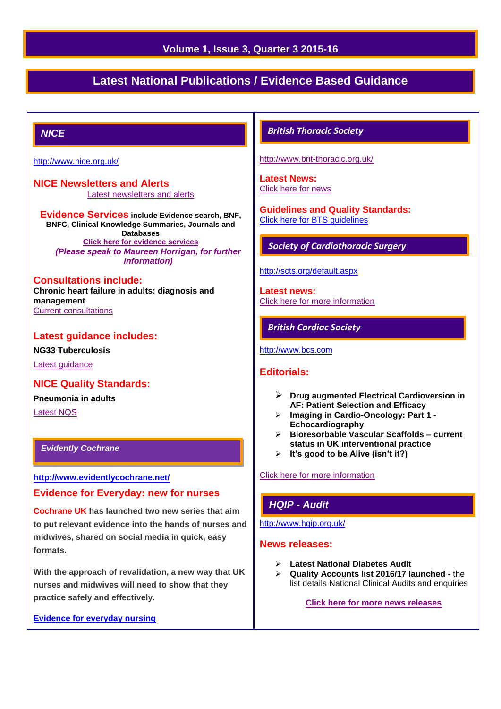## **Volume 1, Issue 3, Quarter 3 2015-16**

# **Latest National Publications / Evidence Based Guidance**

## *NICE*

<http://www.nice.org.uk/>

**NICE Newsletters and Alerts**  [Latest newsletters and alerts](http://www.nice.org.uk/news/nice-newsletters-and-alerts)

**Evidence Services include Evidence search, BNF, BNFC, Clinical Knowledge Summaries, Journals and Databases [Click here for evidence services](https://www.evidence.nhs.uk/)** *(Please speak to Maureen Horrigan, for further information)*

#### **Consultations include: Chronic heart failure in adults: diagnosis and management** [Current consultations](http://www.nice.org.uk/getinvolved/currentniceconsultations/current_nice_consultations.jsp)

## **Latest guidance includes:**

**NG33 Tuberculosis** [Latest guidance](http://guidance.nice.org.uk/Date)

## **NICE Quality Standards:**

**Pneumonia in adults**

[Latest NQS](http://www.nice.org.uk/guidance/qualitystandards/qualitystandards.jsp)

## *Evidently Cochrane*

**<http://www.evidentlycochrane.net/>**

#### **Evidence for Everyday: new for nurses**

**Cochrane UK has launched two new series that aim to put relevant evidence into the hands of nurses and midwives, shared on social media in quick, easy formats.** 

**With the approach of revalidation, a new way that UK nurses and midwives will need to show that they practice safely and effectively.**

**[Evidence for everyday nursing](http://www.evidentlycochrane.net/category/evidence-for-everyday-nursing/)**

## *British Thoracic Society*

<http://www.brit-thoracic.org.uk/>

**Latest News:** [Click here for news](https://www.brit-thoracic.org.uk/bts-news/)

**Guidelines and Quality Standards:** [Click here for BTS guidelines](https://www.brit-thoracic.org.uk/guidelines-and-quality-standards/) 

## *Society of Cardiothoracic Surgery*

#### <http://scts.org/default.aspx>

**Latest news:** [Click here for more information](http://scts.org/modules/news/)

## *British Cardiac Society*

[http://www.bcs.com](http://www.bcs.com/)

## **Editorials:**

- **Drug augmented Electrical Cardioversion in AF: Patient Selection and Efficacy**
- **Imaging in Cardio-Oncology: Part 1 - Echocardiography**
- **Bioresorbable Vascular Scaffolds – current status in UK interventional practice**
- **It's good to be Alive (isn't it?)**

[Click here for more information](http://www.bcs.com/editorial/editorial.asp)

## *HQIP - Audit*

<http://www.hqip.org.uk/>

#### **News releases:**

- **Latest National Diabetes Audit**
- **Quality Accounts list 2016/17 launched -** the list details National Clinical Audits and enquiries

**[Click here for more news releases](http://www.hqip.org.uk/news-releases/)**